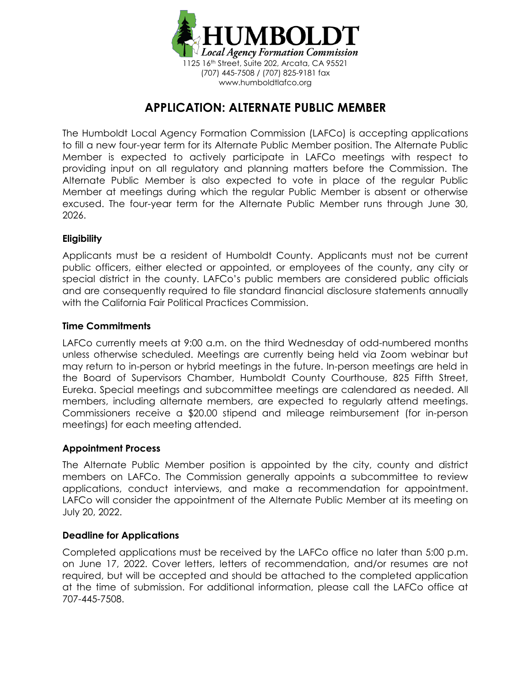

# **APPLICATION: ALTERNATE PUBLIC MEMBER**

The Humboldt Local Agency Formation Commission (LAFCo) is accepting applications to fill a new four-year term for its Alternate Public Member position. The Alternate Public Member is expected to actively participate in LAFCo meetings with respect to providing input on all regulatory and planning matters before the Commission. The Alternate Public Member is also expected to vote in place of the regular Public Member at meetings during which the regular Public Member is absent or otherwise excused. The four-year term for the Alternate Public Member runs through June 30, 2026.

### **Eligibility**

Applicants must be a resident of Humboldt County. Applicants must not be current public officers, either elected or appointed, or employees of the county, any city or special district in the county. LAFCo's public members are considered public officials and are consequently required to file standard financial disclosure statements annually with the California Fair Political Practices Commission.

#### **Time Commitments**

LAFCo currently meets at 9:00 a.m. on the third Wednesday of odd-numbered months unless otherwise scheduled. Meetings are currently being held via Zoom webinar but may return to in-person or hybrid meetings in the future. In-person meetings are held in the Board of Supervisors Chamber, Humboldt County Courthouse, 825 Fifth Street, Eureka. Special meetings and subcommittee meetings are calendared as needed. All members, including alternate members, are expected to regularly attend meetings. Commissioners receive a \$20.00 stipend and mileage reimbursement (for in-person meetings) for each meeting attended.

#### **Appointment Process**

The Alternate Public Member position is appointed by the city, county and district members on LAFCo. The Commission generally appoints a subcommittee to review applications, conduct interviews, and make a recommendation for appointment. LAFCo will consider the appointment of the Alternate Public Member at its meeting on July 20, 2022.

#### **Deadline for Applications**

Completed applications must be received by the LAFCo office no later than 5:00 p.m. on June 17, 2022. Cover letters, letters of recommendation, and/or resumes are not required, but will be accepted and should be attached to the completed application at the time of submission. For additional information, please call the LAFCo office at 707-445-7508.